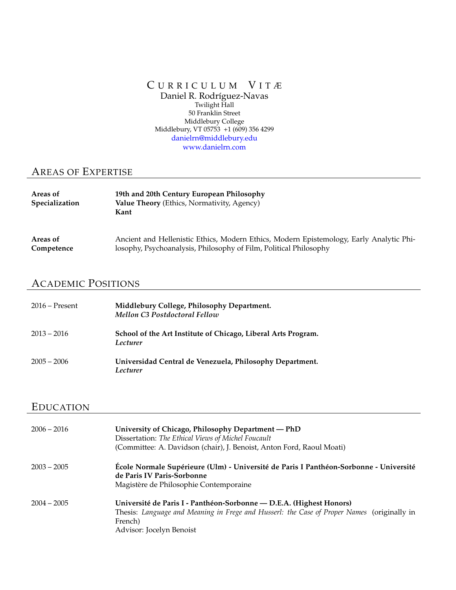#### C URRICULUM V ITÆ Daniel R. Rodríguez-Navas Twilight Hall 50 Franklin Street Middlebury College Middlebury, VT 05753 +1 (609) 356 4299 danielrn@middlebury.edu www.danielrn.com

## AREAS OF EXPERTISE

| Areas of<br><b>Specialization</b> | 19th and 20th Century European Philosophy<br>Value Theory (Ethics, Normativity, Agency)<br>Kant |
|-----------------------------------|-------------------------------------------------------------------------------------------------|
| Areas of                          | Ancient and Hellenistic Ethics, Modern Ethics, Modern Epistemology, Early Analytic Phi-         |
| Competence                        | losophy, Psychoanalysis, Philosophy of Film, Political Philosophy                               |

## ACADEMIC POSITIONS

| $2016 -$ Present | Middlebury College, Philosophy Department.<br><b>Mellon C3 Postdoctoral Fellow</b> |
|------------------|------------------------------------------------------------------------------------|
| $2013 - 2016$    | School of the Art Institute of Chicago, Liberal Arts Program.<br>Lecturer          |
| $2005 - 2006$    | Universidad Central de Venezuela, Philosophy Department.<br>Lecturer               |

## EDUCATION

| $2006 - 2016$ | University of Chicago, Philosophy Department - PhD<br>Dissertation: The Ethical Views of Michel Foucault<br>(Committee: A. Davidson (chair), J. Benoist, Anton Ford, Raoul Moati)                        |
|---------------|----------------------------------------------------------------------------------------------------------------------------------------------------------------------------------------------------------|
| $2003 - 2005$ | École Normale Supérieure (Ulm) - Université de Paris I Panthéon-Sorbonne - Université<br>de Paris IV Paris-Sorbonne<br>Magistère de Philosophie Contemporaine                                            |
| $2004 - 2005$ | Université de Paris I - Panthéon-Sorbonne — D.E.A. (Highest Honors)<br>Thesis: Language and Meaning in Frege and Husserl: the Case of Proper Names (originally in<br>French)<br>Advisor: Jocelyn Benoist |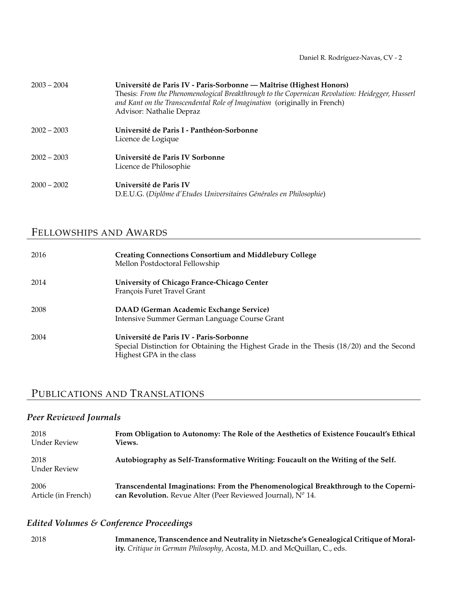| $2003 - 2004$ | Université de Paris IV - Paris-Sorbonne - Maîtrise (Highest Honors)<br>Thesis: From the Phenomenological Breakthrough to the Copernican Revolution: Heidegger, Husserl<br>and Kant on the Transcendental Role of Imagination (originally in French)<br>Advisor: Nathalie Depraz |
|---------------|---------------------------------------------------------------------------------------------------------------------------------------------------------------------------------------------------------------------------------------------------------------------------------|
| $2002 - 2003$ | Université de Paris I - Panthéon-Sorbonne<br>Licence de Logique                                                                                                                                                                                                                 |
| $2002 - 2003$ | Université de Paris IV Sorbonne<br>Licence de Philosophie                                                                                                                                                                                                                       |
| $2000 - 2002$ | Université de Paris IV<br>D.E.U.G. (Diplôme d'Etudes Universitaires Générales en Philosophie)                                                                                                                                                                                   |

## FELLOWSHIPS AND AWARDS

| 2016 | <b>Creating Connections Consortium and Middlebury College</b><br>Mellon Postdoctoral Fellowship                                                                 |
|------|-----------------------------------------------------------------------------------------------------------------------------------------------------------------|
| 2014 | University of Chicago France-Chicago Center<br>François Furet Travel Grant                                                                                      |
| 2008 | DAAD (German Academic Exchange Service)<br>Intensive Summer German Language Course Grant                                                                        |
| 2004 | Université de Paris IV - Paris-Sorbonne<br>Special Distinction for Obtaining the Highest Grade in the Thesis (18/20) and the Second<br>Highest GPA in the class |

## PUBLICATIONS AND TRANSLATIONS

## *Peer Reviewed Journals*

| 2018                 | From Obligation to Autonomy: The Role of the Aesthetics of Existence Foucault's Ethical |
|----------------------|-----------------------------------------------------------------------------------------|
| Under Review         | <b>Views.</b>                                                                           |
| 2018<br>Under Review | Autobiography as Self-Transformative Writing: Foucault on the Writing of the Self.      |
| 2006                 | Transcendental Imaginations: From the Phenomenological Breakthrough to the Coperni-     |
| Article (in French)  | can Revolution. Revue Alter (Peer Reviewed Journal), $N^{\circ}$ 14.                    |

## *Edited Volumes & Conference Proceedings*

| 2018 | Immanence, Transcendence and Neutrality in Nietzsche's Genealogical Critique of Moral- |
|------|----------------------------------------------------------------------------------------|
|      | ity. Critique in German Philosophy, Acosta, M.D. and McQuillan, C., eds.               |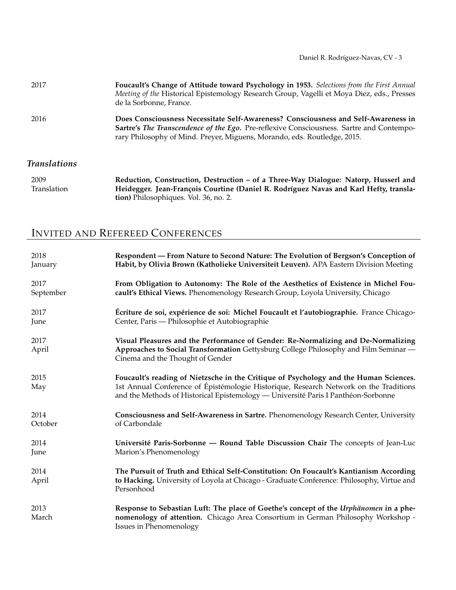| 2017 | Foucault's Change of Attitude toward Psychology in 1953. Selections from the First Annual<br>Meeting of the Historical Epistemology Research Group, Vagelli et Moya Diez, eds., Presses<br>de la Sorbonne, France.                                                |
|------|-------------------------------------------------------------------------------------------------------------------------------------------------------------------------------------------------------------------------------------------------------------------|
| 2016 | Does Consciousness Necessitate Self-Awareness? Consciousness and Self-Awareness in<br><b>Sartre's The Transcendence of the Ego.</b> Pre-reflexive Consciousness. Sartre and Contempo-<br>rary Philosophy of Mind. Preyer, Miguens, Morando, eds. Routledge, 2015. |

## *Translations*

| 2009        | Reduction, Construction, Destruction – of a Three-Way Dialogue: Natorp, Husserl and   |
|-------------|---------------------------------------------------------------------------------------|
| Translation | Heidegger. Jean-François Courtine (Daniel R. Rodríguez Navas and Karl Hefty, transla- |
|             | <b>tion</b> ) Philosophiques. Vol. 36, no. 2.                                         |

# INVITED AND REFEREED CONFERENCES

| 2018          | Respondent — From Nature to Second Nature: The Evolution of Bergson's Conception of                                                                                                                                                                                 |
|---------------|---------------------------------------------------------------------------------------------------------------------------------------------------------------------------------------------------------------------------------------------------------------------|
| January       | Habit, by Olivia Brown (Katholieke Universiteit Leuven). APA Eastern Division Meeting                                                                                                                                                                               |
| 2017          | From Obligation to Autonomy: The Role of the Aesthetics of Existence in Michel Fou-                                                                                                                                                                                 |
| September     | cault's Ethical Views. Phenomenology Research Group, Loyola University, Chicago                                                                                                                                                                                     |
| 2017          | Écriture de soi, expérience de soi: Michel Foucault et l'autobiographie. France Chicago-                                                                                                                                                                            |
| June          | Center, Paris — Philosophie et Autobiographie                                                                                                                                                                                                                       |
| 2017<br>April | Visual Pleasures and the Performance of Gender: Re-Normalizing and De-Normalizing<br>Approaches to Social Transformation Gettysburg College Philosophy and Film Seminar -<br>Cinema and the Thought of Gender                                                       |
| 2015<br>May   | Foucault's reading of Nietzsche in the Critique of Psychology and the Human Sciences.<br>1st Annual Conference of Épistémologie Historique, Research Network on the Traditions<br>and the Methods of Historical Epistemology — Université Paris I Panthéon-Sorbonne |
| 2014          | Consciousness and Self-Awareness in Sartre. Phenomenology Research Center, University                                                                                                                                                                               |
| October       | of Carbondale                                                                                                                                                                                                                                                       |
| 2014          | Université Paris-Sorbonne — Round Table Discussion Chair The concepts of Jean-Luc                                                                                                                                                                                   |
| June          | Marion's Phenomenology                                                                                                                                                                                                                                              |
| 2014<br>April | The Pursuit of Truth and Ethical Self-Constitution: On Foucault's Kantianism According<br>to Hacking. University of Loyola at Chicago - Graduate Conference: Philosophy, Virtue and<br>Personhood                                                                   |
| 2013<br>March | Response to Sebastian Luft: The place of Goethe's concept of the Urphänomen in a phe-<br>nomenology of attention. Chicago Area Consortium in German Philosophy Workshop -<br>Issues in Phenomenology                                                                |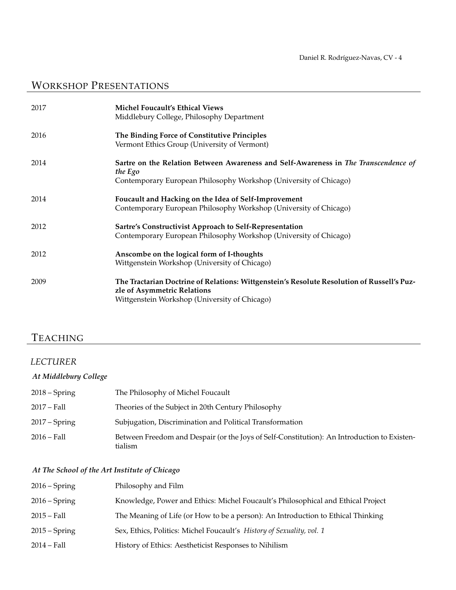# WORKSHOP PRESENTATIONS

| 2017 | <b>Michel Foucault's Ethical Views</b><br>Middlebury College, Philosophy Department                                                                                        |
|------|----------------------------------------------------------------------------------------------------------------------------------------------------------------------------|
| 2016 | The Binding Force of Constitutive Principles<br>Vermont Ethics Group (University of Vermont)                                                                               |
| 2014 | Sartre on the Relation Between Awareness and Self-Awareness in The Transcendence of<br>the Ego<br>Contemporary European Philosophy Workshop (University of Chicago)        |
| 2014 | Foucault and Hacking on the Idea of Self-Improvement<br>Contemporary European Philosophy Workshop (University of Chicago)                                                  |
| 2012 | Sartre's Constructivist Approach to Self-Representation<br>Contemporary European Philosophy Workshop (University of Chicago)                                               |
| 2012 | Anscombe on the logical form of I-thoughts<br>Wittgenstein Workshop (University of Chicago)                                                                                |
| 2009 | The Tractarian Doctrine of Relations: Wittgenstein's Resolute Resolution of Russell's Puz-<br>zle of Asymmetric Relations<br>Wittgenstein Workshop (University of Chicago) |

# TEACHING

### *LECTURER*

### *At Middlebury College*

| $2018 -$ Spring | The Philosophy of Michel Foucault                                                                      |
|-----------------|--------------------------------------------------------------------------------------------------------|
| $2017 - Fall$   | Theories of the Subject in 20th Century Philosophy                                                     |
| $2017 - Spring$ | Subjugation, Discrimination and Political Transformation                                               |
| $2016 - Fall$   | Between Freedom and Despair (or the Joys of Self-Constitution): An Introduction to Existen-<br>tialism |

### *At The School of the Art Institute of Chicago*

| $2016 -$ Spring | Philosophy and Film                                                              |
|-----------------|----------------------------------------------------------------------------------|
| $2016 -$ Spring | Knowledge, Power and Ethics: Michel Foucault's Philosophical and Ethical Project |
| $2015 - Fall$   | The Meaning of Life (or How to be a person): An Introduction to Ethical Thinking |
| $2015 -$ Spring | Sex, Ethics, Politics: Michel Foucault's History of Sexuality, vol. 1            |
| $2014 - Fall$   | History of Ethics: Aestheticist Responses to Nihilism                            |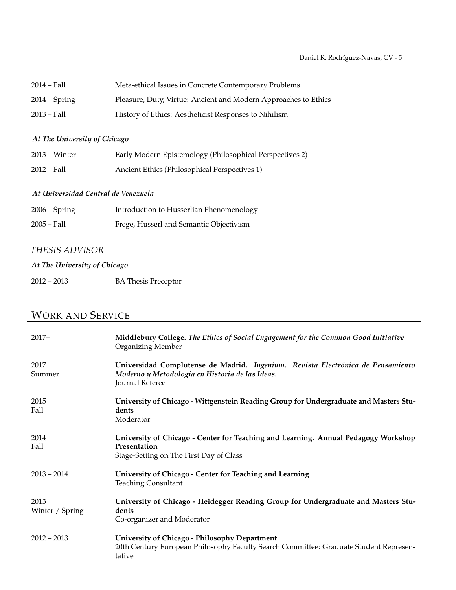| $2014 - Fall$   | Meta-ethical Issues in Concrete Contemporary Problems           |
|-----------------|-----------------------------------------------------------------|
| $2014 - Spring$ | Pleasure, Duty, Virtue: Ancient and Modern Approaches to Ethics |
| $2013 - Fall$   | History of Ethics: Aestheticist Responses to Nihilism           |

### *At The University of Chicago*

| $2013 - Winter$ | Early Modern Epistemology (Philosophical Perspectives 2) |
|-----------------|----------------------------------------------------------|
| $2012 - Fall$   | Ancient Ethics (Philosophical Perspectives 1)            |

#### *At Universidad Central de Venezuela*

| $2006 -$ Spring | Introduction to Husserlian Phenomenology |
|-----------------|------------------------------------------|
| $2005 - Fall$   | Frege, Husserl and Semantic Objectivism  |

### *THESIS ADVISOR*

### *At The University of Chicago*

2012 – 2013 BA Thesis Preceptor

## WORK AND SERVICE

| $2017 -$                | Middlebury College. The Ethics of Social Engagement for the Common Good Initiative<br><b>Organizing Member</b>                                        |
|-------------------------|-------------------------------------------------------------------------------------------------------------------------------------------------------|
| 2017<br>Summer          | Universidad Complutense de Madrid. Ingenium. Revista Electrónica de Pensamiento<br>Moderno y Metodología en Historia de las Ideas.<br>Journal Referee |
| 2015<br>Fall            | University of Chicago - Wittgenstein Reading Group for Undergraduate and Masters Stu-<br>dents<br>Moderator                                           |
| 2014<br>Fall            | University of Chicago - Center for Teaching and Learning. Annual Pedagogy Workshop<br>Presentation<br>Stage-Setting on The First Day of Class         |
| $2013 - 2014$           | University of Chicago - Center for Teaching and Learning<br><b>Teaching Consultant</b>                                                                |
| 2013<br>Winter / Spring | University of Chicago - Heidegger Reading Group for Undergraduate and Masters Stu-<br>dents<br>Co-organizer and Moderator                             |
| $2012 - 2013$           | University of Chicago - Philosophy Department<br>20th Century European Philosophy Faculty Search Committee: Graduate Student Represen-<br>tative      |